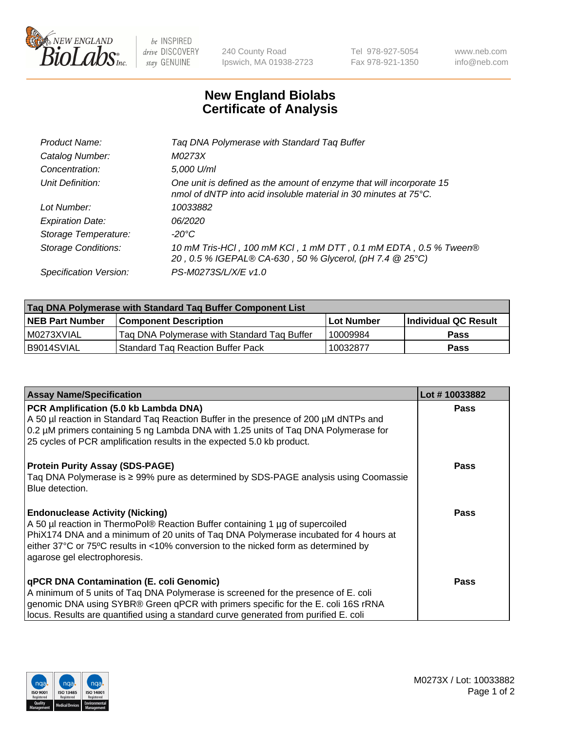

 $be$  INSPIRED drive DISCOVERY stay GENUINE

240 County Road Ipswich, MA 01938-2723 Tel 978-927-5054 Fax 978-921-1350 www.neb.com info@neb.com

## **New England Biolabs Certificate of Analysis**

| Product Name:              | Tag DNA Polymerase with Standard Tag Buffer                                                                                              |
|----------------------------|------------------------------------------------------------------------------------------------------------------------------------------|
| Catalog Number:            | M0273X                                                                                                                                   |
| Concentration:             | 5,000 U/ml                                                                                                                               |
| Unit Definition:           | One unit is defined as the amount of enzyme that will incorporate 15<br>nmol of dNTP into acid insoluble material in 30 minutes at 75°C. |
| Lot Number:                | 10033882                                                                                                                                 |
| <b>Expiration Date:</b>    | 06/2020                                                                                                                                  |
| Storage Temperature:       | $-20^{\circ}$ C                                                                                                                          |
| <b>Storage Conditions:</b> | 10 mM Tris-HCl, 100 mM KCl, 1 mM DTT, 0.1 mM EDTA, 0.5 % Tween®<br>20, 0.5 % IGEPAL® CA-630, 50 % Glycerol, (pH 7.4 @ 25°C)              |
| Specification Version:     | PS-M0273S/L/X/E v1.0                                                                                                                     |
|                            |                                                                                                                                          |

| Tag DNA Polymerase with Standard Tag Buffer Component List |                                             |                   |                      |  |
|------------------------------------------------------------|---------------------------------------------|-------------------|----------------------|--|
| <b>NEB Part Number</b>                                     | <b>Component Description</b>                | <b>Lot Number</b> | Individual QC Result |  |
| l M0273XVIAL                                               | Tag DNA Polymerase with Standard Tag Buffer | 10009984          | <b>Pass</b>          |  |
| B9014SVIAL                                                 | <b>Standard Tag Reaction Buffer Pack</b>    | 10032877          | Pass                 |  |

| <b>Assay Name/Specification</b>                                                                                                                                                                                                                                                                                                       | Lot #10033882 |
|---------------------------------------------------------------------------------------------------------------------------------------------------------------------------------------------------------------------------------------------------------------------------------------------------------------------------------------|---------------|
| PCR Amplification (5.0 kb Lambda DNA)<br>A 50 µl reaction in Standard Taq Reaction Buffer in the presence of 200 µM dNTPs and<br>0.2 µM primers containing 5 ng Lambda DNA with 1.25 units of Taq DNA Polymerase for<br>25 cycles of PCR amplification results in the expected 5.0 kb product.                                        | <b>Pass</b>   |
| <b>Protein Purity Assay (SDS-PAGE)</b><br>Taq DNA Polymerase is ≥ 99% pure as determined by SDS-PAGE analysis using Coomassie<br>Blue detection.                                                                                                                                                                                      | Pass          |
| <b>Endonuclease Activity (Nicking)</b><br>A 50 µl reaction in ThermoPol® Reaction Buffer containing 1 µg of supercoiled<br>PhiX174 DNA and a minimum of 20 units of Tag DNA Polymerase incubated for 4 hours at<br>either 37°C or 75°C results in <10% conversion to the nicked form as determined by<br>agarose gel electrophoresis. | Pass          |
| qPCR DNA Contamination (E. coli Genomic)<br>A minimum of 5 units of Taq DNA Polymerase is screened for the presence of E. coli<br>genomic DNA using SYBR® Green qPCR with primers specific for the E. coli 16S rRNA<br>locus. Results are quantified using a standard curve generated from purified E. coli                           | Pass          |